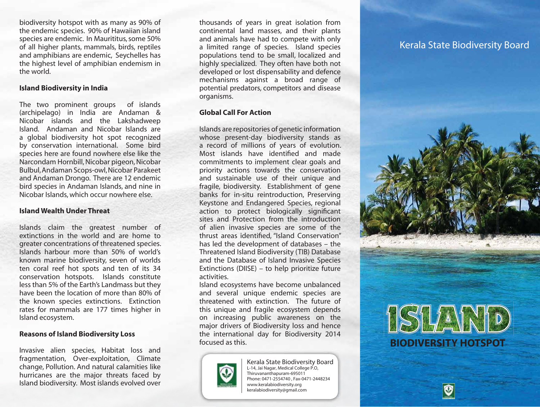biodiversity hotspot with as many as 90% of the endemic species. 90% of Hawaiian island species are endemic. In Maurititus, some 50% of all higher plants, mammals, birds, reptiles and amphibians are endemic, Seychelles has the highest level of amphibian endemism in the world.

# **Island Biodiversity in India**

The two prominent groups of islands (archipelago) in India are Andaman & Nicobar islands and the Lakshadweep Island. Andaman and Nicobar Islands are a global biodiversity hot spot recognized by conservation international. Some bird species here are found nowhere else like the Narcondam Hornbill, Nicobar pigeon, Nicobar Bulbul,Andaman Scops-owl,Nicobar Parakeet and Andaman Drongo. There are 12 endemic bird species in Andaman Islands, and nine in Nicobar Islands, which occur nowhere else.

# **Island Wealth Under Threat**

Islands claim the greatest number of extinctions in the world and are home to greater concentrations of threatened species. Islands harbour more than 50% of world's known marine biodiversity, seven of worlds ten coral reef hot spots and ten of its 34 conservation hotspots. Islands constitute less than 5% of the Earth's Landmass but they have been the location of more than 80% of the known species extinctions. Extinction rates for mammals are 177 times higher in Island ecosystem.

# **Reasons of Island Biodiversity Loss**

Invasive alien species, Habitat loss and fragmentation, Over-exploitation, Climate change, Pollution. And natural calamities like hurricanes are the major threats faced by Island biodiversity. Most islands evolved over

thousands of years in great isolation from continental land masses, and their plants and animals have had to compete with only a limited range of species. Island species populations tend to be small, localized and highly specialized. They often have both not developed or lost dispensability and defence mechanisms against a broad range of potential predators, competitors and disease organisms.

# **Global Call For Action**

Islands are repositories of genetic information whose present-day biodiversity stands as a record of millions of years of evolution. Most islands have identified and made commitments to implement clear goals and priority actions towards the conservation and sustainable use of their unique and fragile, biodiversity. Establishment of gene banks for in-situ reintroduction, Preserving Keystone and Endangered Species, regional action to protect biologically significant sites and Protection from the introduction of alien invasive species are some of the thrust areas identified, "Island Conservation" has led the development of databases – the Threatened Island Biodiversity (TIB) Database and the Database of Island Invasive Species Extinctions (DIISE) – to help prioritize future activities.

Island ecosystems have become unbalanced and several unique endemic species are threatened with extinction. The future of this unique and fragile ecosystem depends on increasing public awareness on the major drivers of Biodiversity loss and hence the international day for Biodiversity 2014<br>focused as this



Kerala State Biodiversity Board L-14, Jai Nagar, Medical College P.O, Thiruvananthapuram-695011 Phone: 0471-2554740 , Fax-0471-2448234 www.keralabiodiversity.org keralabiodiversity@gmail.com

# Kerala State Biodiversity Board